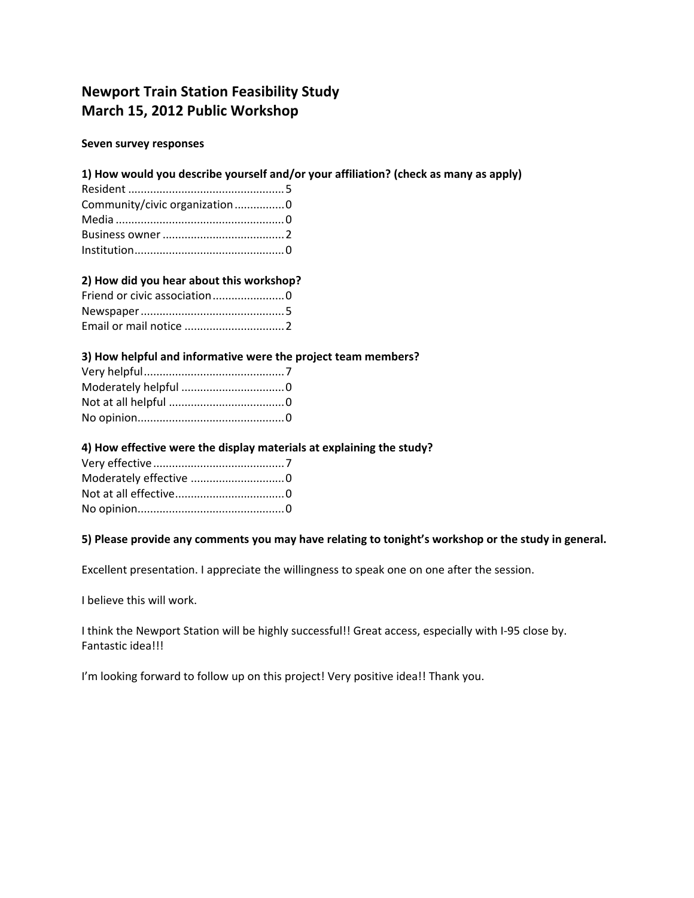# **Newport Train Station Feasibility Study March 15, 2012 Public Workshop**

#### **Seven survey responses**

# **1) How would you describe yourself and/or your affiliation? (check as many as apply)**

| Community/civic organization0 |  |
|-------------------------------|--|
|                               |  |
|                               |  |
|                               |  |

# **2) How did you hear about this workshop?**

| Friend or civic association0 |  |
|------------------------------|--|
|                              |  |
|                              |  |

## **3) How helpful and informative were the project team members?**

## **4) How effective were the display materials at explaining the study?**

## **5) Please provide any comments you may have relating to tonight's workshop or the study in general.**

Excellent presentation. I appreciate the willingness to speak one on one after the session.

I believe this will work.

I think the Newport Station will be highly successful!! Great access, especially with I-95 close by. Fantastic idea!!!

I'm looking forward to follow up on this project! Very positive idea!! Thank you.